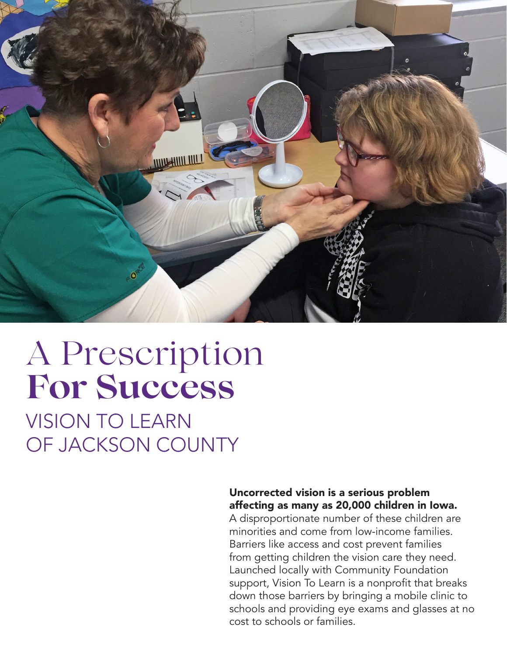

## A Prescription **For Success**

VISION TO LEARN OF JACKSON COUNTY

#### Uncorrected vision is a serious problem affecting as many as 20,000 children in Iowa.

A disproportionate number of these children are minorities and come from low-income families. Barriers like access and cost prevent families from getting children the vision care they need. Launched locally with Community Foundation support, Vision To Learn is a nonprofit that breaks down those barriers by bringing a mobile clinic to schools and providing eye exams and glasses at no cost to schools or families.